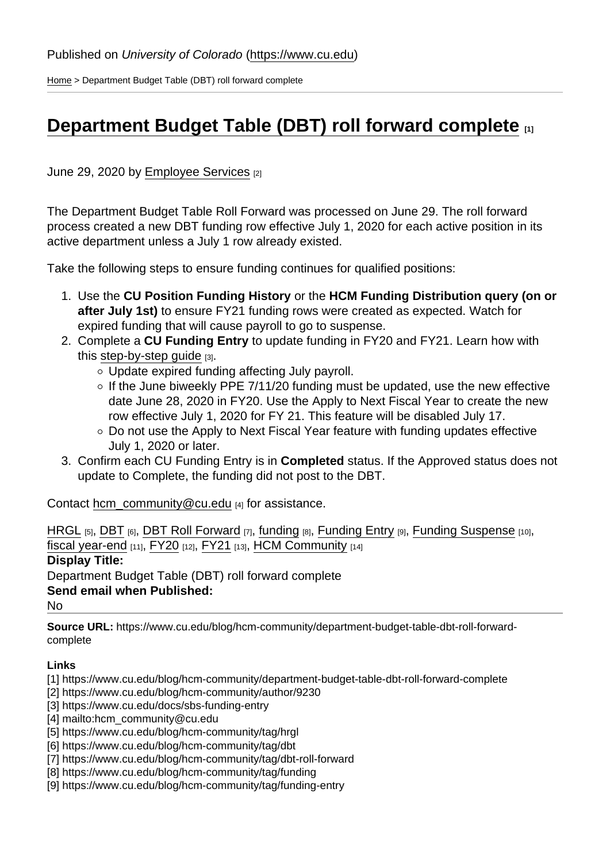[Home](https://www.cu.edu/) > Department Budget Table (DBT) roll forward complete

## [Department Budget Table \(DBT\) roll forward complete](https://www.cu.edu/blog/hcm-community/department-budget-table-dbt-roll-forward-complete)  $\qquad_{11}$

June 29, 2020 by [Employee Services](https://www.cu.edu/blog/hcm-community/author/9230) [2]

The Department Budget Table Roll Forward was processed on June 29. The roll forward process created a new DBT funding row effective July 1, 2020 for each active position in its active department unless a July 1 row already existed.

Take the following steps to ensure funding continues for qualified positions:

- 1. Use the CU Position Funding History or the HCM Funding Distribution query (on or after July 1st) to ensure FY21 funding rows were created as expected. Watch for expired funding that will cause payroll to go to suspense.
- 2. Complete a CU Funding Entry to update funding in FY20 and FY21. Learn how with this step-by-step quide [3].
	- Update expired funding affecting July payroll.
	- $\circ$  If the June biweekly PPE 7/11/20 funding must be updated, use the new effective date June 28, 2020 in FY20. Use the Apply to Next Fiscal Year to create the new row effective July 1, 2020 for FY 21. This feature will be disabled July 17.
	- Do not use the Apply to Next Fiscal Year feature with funding updates effective July 1, 2020 or later.
- 3. Confirm each CU Funding Entry is in Completed status. If the Approved status does not update to Complete, the funding did not post to the DBT.

Contact [hcm\\_community@cu.edu](mailto:hcm_community@cu.edu) [4] for assistance.

[HRGL](https://www.cu.edu/blog/hcm-community/tag/hrgl) [5], [DBT](https://www.cu.edu/blog/hcm-community/tag/dbt) [6], [DBT Roll Forward](https://www.cu.edu/blog/hcm-community/tag/dbt-roll-forward) [7], [funding](https://www.cu.edu/blog/hcm-community/tag/funding) [8], [Funding Entry](https://www.cu.edu/blog/hcm-community/tag/funding-entry) [9], [Funding Suspense](https://www.cu.edu/blog/hcm-community/tag/funding-suspense) [10], [fiscal year-end](https://www.cu.edu/blog/hcm-community/tag/fiscal-year-end)  $[11]$ , [FY20](https://www.cu.edu/blog/hcm-community/tag/fy20)  $[12]$ , [FY21](https://www.cu.edu/blog/hcm-community/tag/fy21)  $[13]$ , [HCM Community](https://www.cu.edu/blog/hcm-community/tag/hcm-community)  $[14]$ Display Title: Department Budget Table (DBT) roll forward complete Send email when Published: No

Source URL: https://www.cu.edu/blog/hcm-community/department-budget-table-dbt-roll-forwardcomplete

Links

[1] https://www.cu.edu/blog/hcm-community/department-budget-table-dbt-roll-forward-complete

- [2] https://www.cu.edu/blog/hcm-community/author/9230
- [3] https://www.cu.edu/docs/sbs-funding-entry

[4] mailto:hcm\_community@cu.edu

[5] https://www.cu.edu/blog/hcm-community/tag/hrgl

[6] https://www.cu.edu/blog/hcm-community/tag/dbt

[7] https://www.cu.edu/blog/hcm-community/tag/dbt-roll-forward

[8] https://www.cu.edu/blog/hcm-community/tag/funding

[9] https://www.cu.edu/blog/hcm-community/tag/funding-entry